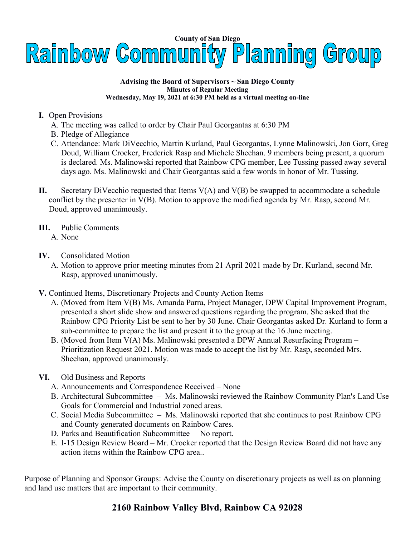

**Advising the Board of Supervisors ~ San Diego County Minutes of Regular Meeting Wednesday, May 19, 2021 at 6:30 PM held as a virtual meeting on-line**

- **I.** Open Provisions
	- A. The meeting was called to order by Chair Paul Georgantas at 6:30 PM
	- B. Pledge of Allegiance
	- C. Attendance: Mark DiVecchio, Martin Kurland, Paul Georgantas, Lynne Malinowski, Jon Gorr, Greg Doud, William Crocker, Frederick Rasp and Michele Sheehan. 9 members being present, a quorum is declared. Ms. Malinowski reported that Rainbow CPG member, Lee Tussing passed away several days ago. Ms. Malinowski and Chair Georgantas said a few words in honor of Mr. Tussing.
- **II.** Secretary DiVecchio requested that Items V(A) and V(B) be swapped to accommodate a schedule conflict by the presenter in V(B). Motion to approve the modified agenda by Mr. Rasp, second Mr. Doud, approved unanimously.
- **III.** Public Comments A. None
- **IV.** Consolidated Motion
	- A. Motion to approve prior meeting minutes from 21 April 2021 made by Dr. Kurland, second Mr. Rasp, approved unanimously.
- **V.** Continued Items, Discretionary Projects and County Action Items
	- A. (Moved from Item V(B) Ms. Amanda Parra, Project Manager, DPW Capital Improvement Program, presented a short slide show and answered questions regarding the program. She asked that the Rainbow CPG Priority List be sent to her by 30 June. Chair Georgantas asked Dr. Kurland to form a sub-committee to prepare the list and present it to the group at the 16 June meeting.
	- B. (Moved from Item V(A) Ms. Malinowski presented a DPW Annual Resurfacing Program Prioritization Request 2021. Motion was made to accept the list by Mr. Rasp, seconded Mrs. Sheehan, approved unanimously.
- **VI.** Old Business and Reports
	- A. Announcements and Correspondence Received None
	- B. Architectural Subcommittee Ms. Malinowski reviewed the Rainbow Community Plan's Land Use Goals for Commercial and Industrial zoned areas.
	- C. Social Media Subcommittee Ms. Malinowski reported that she continues to post Rainbow CPG and County generated documents on Rainbow Cares.
	- D. Parks and Beautification Subcommittee No report.
	- E. I-15 Design Review Board Mr. Crocker reported that the Design Review Board did not have any action items within the Rainbow CPG area..

Purpose of Planning and Sponsor Groups: Advise the County on discretionary projects as well as on planning and land use matters that are important to their community.

## **2160 Rainbow Valley Blvd, Rainbow CA 92028**